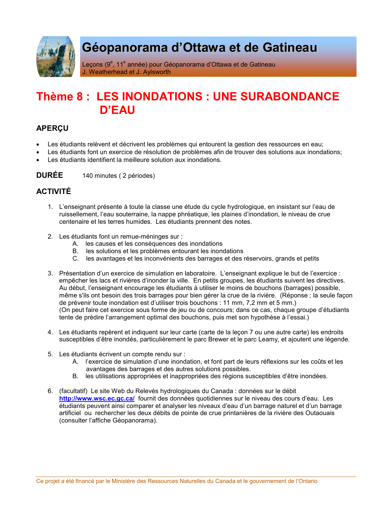

# Géopanorama d'Ottawa et de Gatineau

Leçons (9<sup>e</sup>, 11<sup>e</sup> année) pour Géopanorama d'Ottawa et de Gatineau J. Weatherhead et J. Aylsworth

## Thème 8: LES INONDATIONS : UNE SURABONDANCE  $D'FAII$

## **APERCU**

- Les étudiants relèvent et décrivent les problèmes qui entourent la gestion des ressources en eau;
- Les étudiants font un exercice de résolution de problèmes afin de trouver des solutions aux inondations;
- Les étudiants identifient la meilleure solution aux inondations.

**DURÉE** 140 minutes (2 périodes)

## **ACTIVITÉ**

- 1. L'enseignant présente à toute la classe une étude du cycle hydrologique, en insistant sur l'eau de ruissellement, l'eau souterraine, la nappe phréatique, les plaines d'inondation, le niveau de crue centenaire et les terres humides. Les étudiants prennent des notes.
- 2. Les étudiants font un remue-méninges sur :
	- A. les causes et les conséquences des inondations
	- B. les solutions et les problèmes entourant les inondations
	- C. les avantages et les inconvénients des barrages et des réservoirs, grands et petits
- 3. Présentation d'un exercice de simulation en laboratoire. L'enseignant explique le but de l'exercice : empêcher les lacs et rivières d'inonder la ville. En petits groupes, les étudiants suivent les directives. Au début, l'enseignant encourage les étudiants à utiliser le moins de bouchons (barrages) possible, même s'ils ont besoin des trois barrages pour bien gérer la crue de la rivière. (Réponse : la seule façon de prévenir toute inondation est d'utiliser trois bouchons : 11 mm, 7,2 mm et 5 mm.) (On peut faire cet exercice sous forme de jeu ou de concours; dans ce cas, chaque groupe d'étudiants tente de prédire l'arrangement optimal des bouchons, puis met son hypothèse à l'essai.)
- 4. Les étudiants repèrent et indiquent sur leur carte (carte de la lecon 7 ou une autre carte) les endroits susceptibles d'être inondés, particulièrement le parc Brewer et le parc Leamy, et ajoutent une légende.
- 5. Les étudiants écrivent un compte rendu sur :
	- A. l'exercice de simulation d'une inondation, et font part de leurs réflexions sur les coûts et les avantages des barrages et des autres solutions possibles.
	- B. les utilisations appropriées et inappropriées des régions susceptibles d'être inondées.
- 6. (facultatif) Le site Web du Relevés hydrologiques du Canada : données sur le débit http://www.wsc.ec.gc.ca/ fournit des données quotidiennes sur le niveau des cours d'eau. Les étudiants peuvent ainsi comparer et analyser les niveaux d'eau d'un barrage naturel et d'un barrage artificiel ou rechercher les deux débits de pointe de crue printanières de la rivière des Outaouais (consulter l'affiche Géopanorama).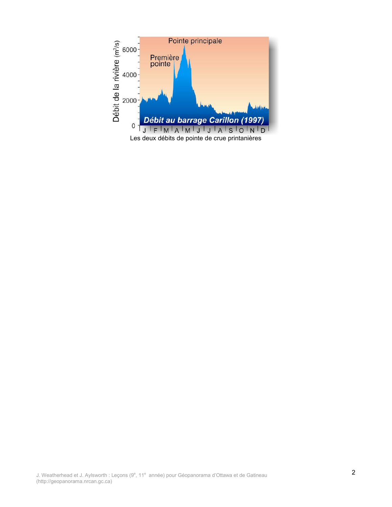